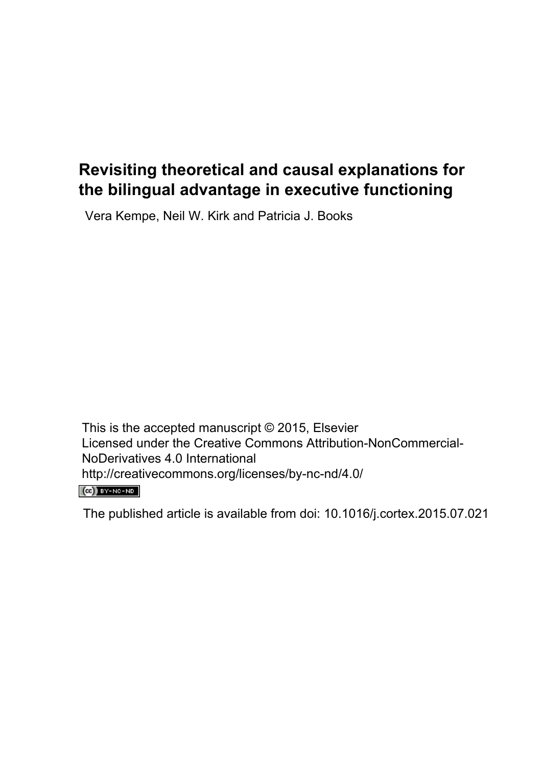## **Revisiting theoretical and causal explanations for the bilingual advantage in executive functioning**

Vera Kempe, Neil W. Kirk and Patricia J. Books

This is the accepted manuscript © 2015, Elsevier Licensed under the Creative Commons Attribution-NonCommercial-NoDerivatives 4.0 International http://creativecommons.org/licenses/by-nc-nd/4.0/

 $(C)$  BY-NC-ND

The published article is available from doi: 10.1016/j.cortex.2015.07.021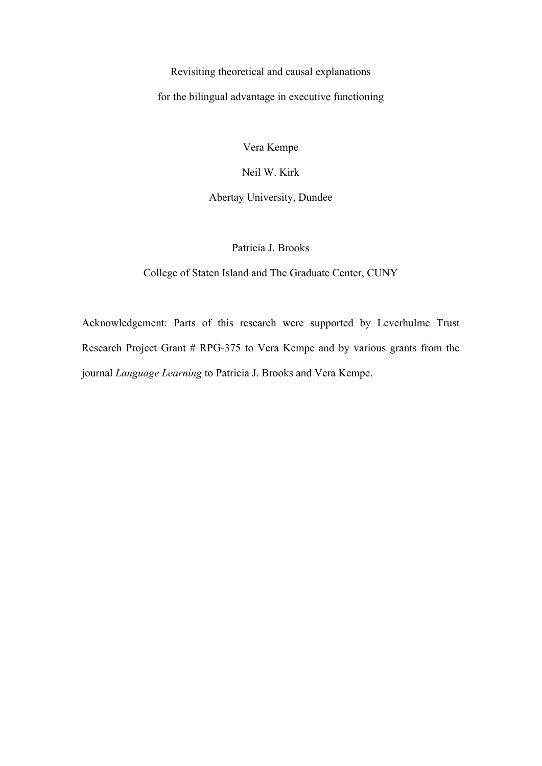## Revisiting theoretical and causal explanations for the bilingual advantage in executive functioning

Vera Kempe

Neil W. Kirk

## Abertay University, Dundee

Patricia J. Brooks

College of Staten Island and The Graduate Center, CUNY

Acknowledgement: Parts of this research were supported by Leverhulme Trust Research Project Grant # RPG-375 to Vera Kempe and by various grants from the journal *Language Learning* to Patricia J. Brooks and Vera Kempe.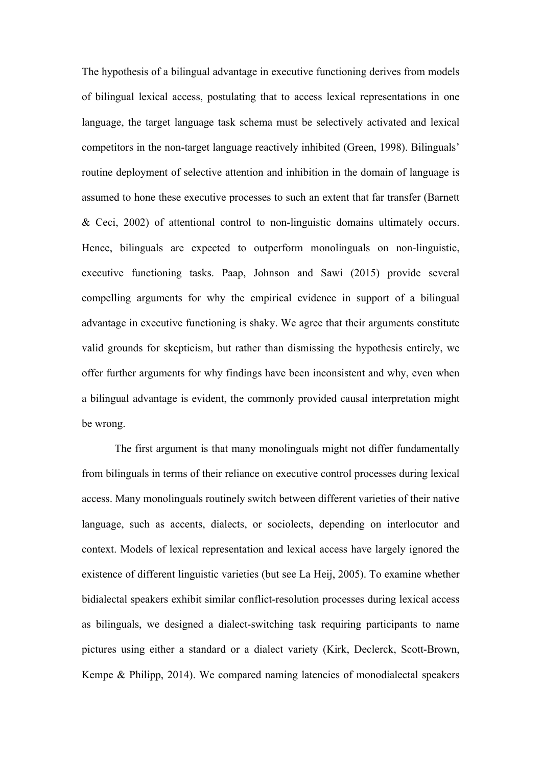The hypothesis of a bilingual advantage in executive functioning derives from models of bilingual lexical access, postulating that to access lexical representations in one language, the target language task schema must be selectively activated and lexical competitors in the non-target language reactively inhibited (Green, 1998). Bilinguals' routine deployment of selective attention and inhibition in the domain of language is assumed to hone these executive processes to such an extent that far transfer (Barnett & Ceci, 2002) of attentional control to non-linguistic domains ultimately occurs. Hence, bilinguals are expected to outperform monolinguals on non-linguistic, executive functioning tasks. Paap, Johnson and Sawi (2015) provide several compelling arguments for why the empirical evidence in support of a bilingual advantage in executive functioning is shaky. We agree that their arguments constitute valid grounds for skepticism, but rather than dismissing the hypothesis entirely, we offer further arguments for why findings have been inconsistent and why, even when a bilingual advantage is evident, the commonly provided causal interpretation might be wrong.

The first argument is that many monolinguals might not differ fundamentally from bilinguals in terms of their reliance on executive control processes during lexical access. Many monolinguals routinely switch between different varieties of their native language, such as accents, dialects, or sociolects, depending on interlocutor and context. Models of lexical representation and lexical access have largely ignored the existence of different linguistic varieties (but see La Heij, 2005). To examine whether bidialectal speakers exhibit similar conflict-resolution processes during lexical access as bilinguals, we designed a dialect-switching task requiring participants to name pictures using either a standard or a dialect variety (Kirk, Declerck, Scott-Brown, Kempe & Philipp, 2014). We compared naming latencies of monodialectal speakers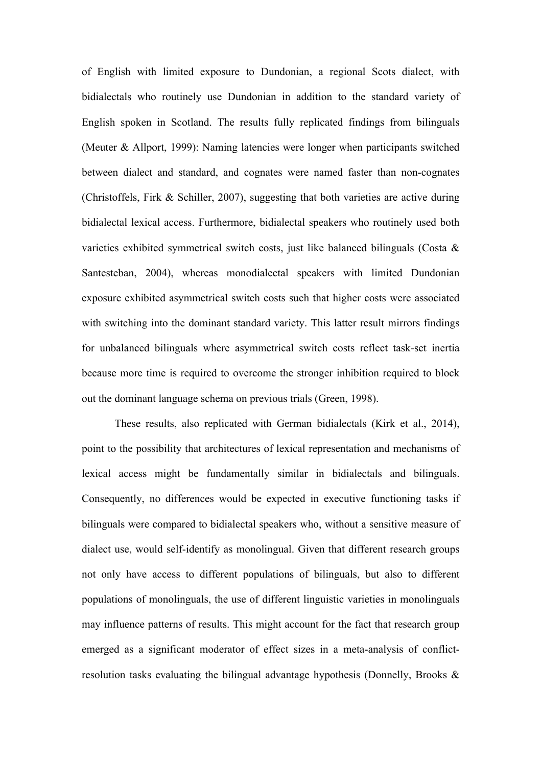of English with limited exposure to Dundonian, a regional Scots dialect, with bidialectals who routinely use Dundonian in addition to the standard variety of English spoken in Scotland. The results fully replicated findings from bilinguals (Meuter & Allport, 1999): Naming latencies were longer when participants switched between dialect and standard, and cognates were named faster than non-cognates (Christoffels, Firk & Schiller, 2007), suggesting that both varieties are active during bidialectal lexical access. Furthermore, bidialectal speakers who routinely used both varieties exhibited symmetrical switch costs, just like balanced bilinguals (Costa & Santesteban, 2004), whereas monodialectal speakers with limited Dundonian exposure exhibited asymmetrical switch costs such that higher costs were associated with switching into the dominant standard variety. This latter result mirrors findings for unbalanced bilinguals where asymmetrical switch costs reflect task-set inertia because more time is required to overcome the stronger inhibition required to block out the dominant language schema on previous trials (Green, 1998).

These results, also replicated with German bidialectals (Kirk et al., 2014), point to the possibility that architectures of lexical representation and mechanisms of lexical access might be fundamentally similar in bidialectals and bilinguals. Consequently, no differences would be expected in executive functioning tasks if bilinguals were compared to bidialectal speakers who, without a sensitive measure of dialect use, would self-identify as monolingual. Given that different research groups not only have access to different populations of bilinguals, but also to different populations of monolinguals, the use of different linguistic varieties in monolinguals may influence patterns of results. This might account for the fact that research group emerged as a significant moderator of effect sizes in a meta-analysis of conflictresolution tasks evaluating the bilingual advantage hypothesis (Donnelly, Brooks &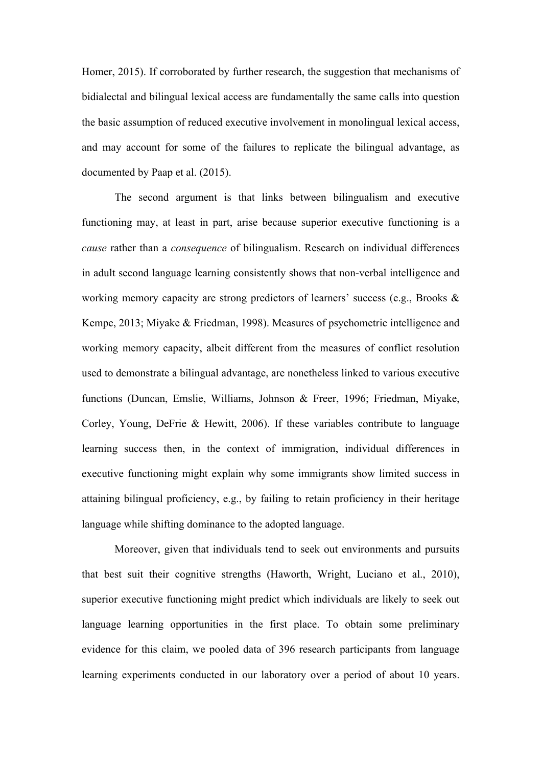Homer, 2015). If corroborated by further research, the suggestion that mechanisms of bidialectal and bilingual lexical access are fundamentally the same calls into question the basic assumption of reduced executive involvement in monolingual lexical access, and may account for some of the failures to replicate the bilingual advantage, as documented by Paap et al. (2015).

The second argument is that links between bilingualism and executive functioning may, at least in part, arise because superior executive functioning is a *cause* rather than a *consequence* of bilingualism. Research on individual differences in adult second language learning consistently shows that non-verbal intelligence and working memory capacity are strong predictors of learners' success (e.g., Brooks & Kempe, 2013; Miyake & Friedman, 1998). Measures of psychometric intelligence and working memory capacity, albeit different from the measures of conflict resolution used to demonstrate a bilingual advantage, are nonetheless linked to various executive functions (Duncan, Emslie, Williams, Johnson & Freer, 1996; Friedman, Miyake, Corley, Young, DeFrie & Hewitt, 2006). If these variables contribute to language learning success then, in the context of immigration, individual differences in executive functioning might explain why some immigrants show limited success in attaining bilingual proficiency, e.g., by failing to retain proficiency in their heritage language while shifting dominance to the adopted language.

Moreover, given that individuals tend to seek out environments and pursuits that best suit their cognitive strengths (Haworth, Wright, Luciano et al., 2010), superior executive functioning might predict which individuals are likely to seek out language learning opportunities in the first place. To obtain some preliminary evidence for this claim, we pooled data of 396 research participants from language learning experiments conducted in our laboratory over a period of about 10 years.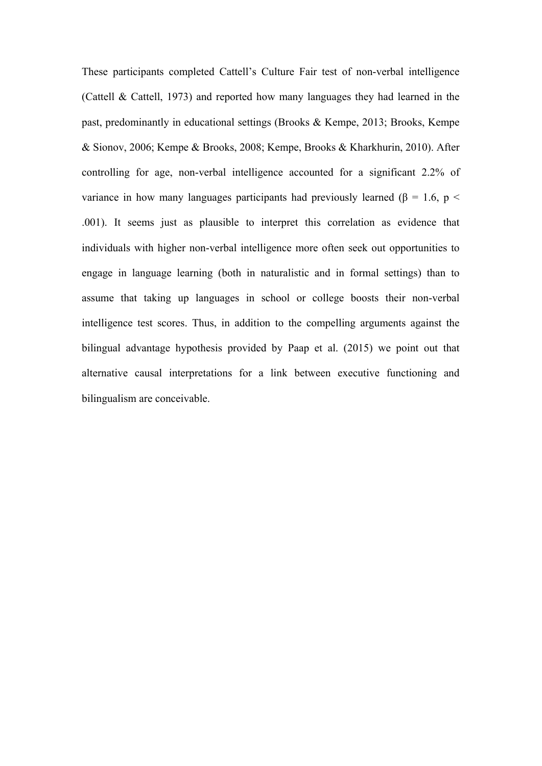These participants completed Cattell's Culture Fair test of non-verbal intelligence (Cattell & Cattell, 1973) and reported how many languages they had learned in the past, predominantly in educational settings (Brooks & Kempe, 2013; Brooks, Kempe & Sionov, 2006; Kempe & Brooks, 2008; Kempe, Brooks & Kharkhurin, 2010). After controlling for age, non-verbal intelligence accounted for a significant 2.2% of variance in how many languages participants had previously learned ( $\beta$  = 1.6, p < .001). It seems just as plausible to interpret this correlation as evidence that individuals with higher non-verbal intelligence more often seek out opportunities to engage in language learning (both in naturalistic and in formal settings) than to assume that taking up languages in school or college boosts their non-verbal intelligence test scores. Thus, in addition to the compelling arguments against the bilingual advantage hypothesis provided by Paap et al. (2015) we point out that alternative causal interpretations for a link between executive functioning and bilingualism are conceivable.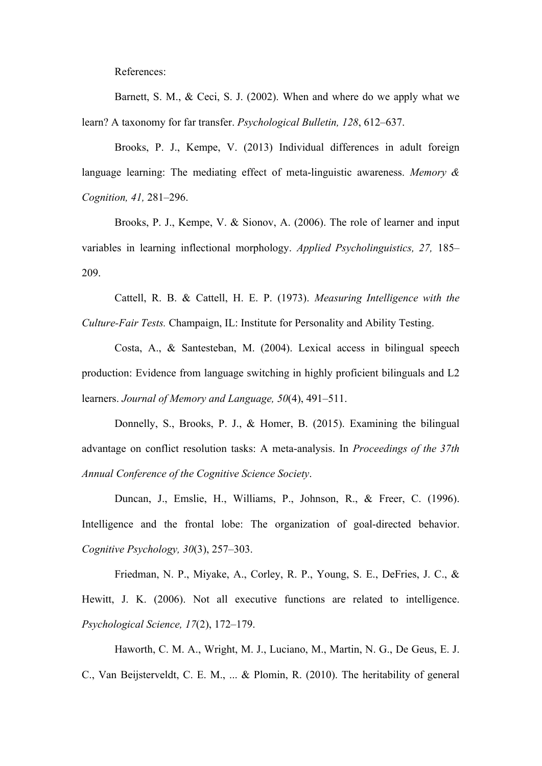References:

Barnett, S. M., & Ceci, S. J. (2002). When and where do we apply what we learn? A taxonomy for far transfer. *Psychological Bulletin, 128*, 612–637.

Brooks, P. J., Kempe, V. (2013) Individual differences in adult foreign language learning: The mediating effect of meta-linguistic awareness. *Memory & Cognition, 41,* 281–296.

Brooks, P. J., Kempe, V. & Sionov, A. (2006). The role of learner and input variables in learning inflectional morphology. *Applied Psycholinguistics, 27,* 185– 209.

Cattell, R. B. & Cattell, H. E. P. (1973). *Measuring Intelligence with the Culture-Fair Tests.* Champaign, IL: Institute for Personality and Ability Testing.

Costa, A., & Santesteban, M. (2004). Lexical access in bilingual speech production: Evidence from language switching in highly proficient bilinguals and L2 learners. *Journal of Memory and Language, 50*(4), 491–511.

Donnelly, S., Brooks, P. J., & Homer, B. (2015). Examining the bilingual advantage on conflict resolution tasks: A meta-analysis. In *Proceedings of the 37th Annual Conference of the Cognitive Science Society*.

Duncan, J., Emslie, H., Williams, P., Johnson, R., & Freer, C. (1996). Intelligence and the frontal lobe: The organization of goal-directed behavior. *Cognitive Psychology, 30*(3), 257–303.

Friedman, N. P., Miyake, A., Corley, R. P., Young, S. E., DeFries, J. C., & Hewitt, J. K. (2006). Not all executive functions are related to intelligence. *Psychological Science, 17*(2), 172–179.

Haworth, C. M. A., Wright, M. J., Luciano, M., Martin, N. G., De Geus, E. J. C., Van Beijsterveldt, C. E. M., ... & Plomin, R. (2010). The heritability of general